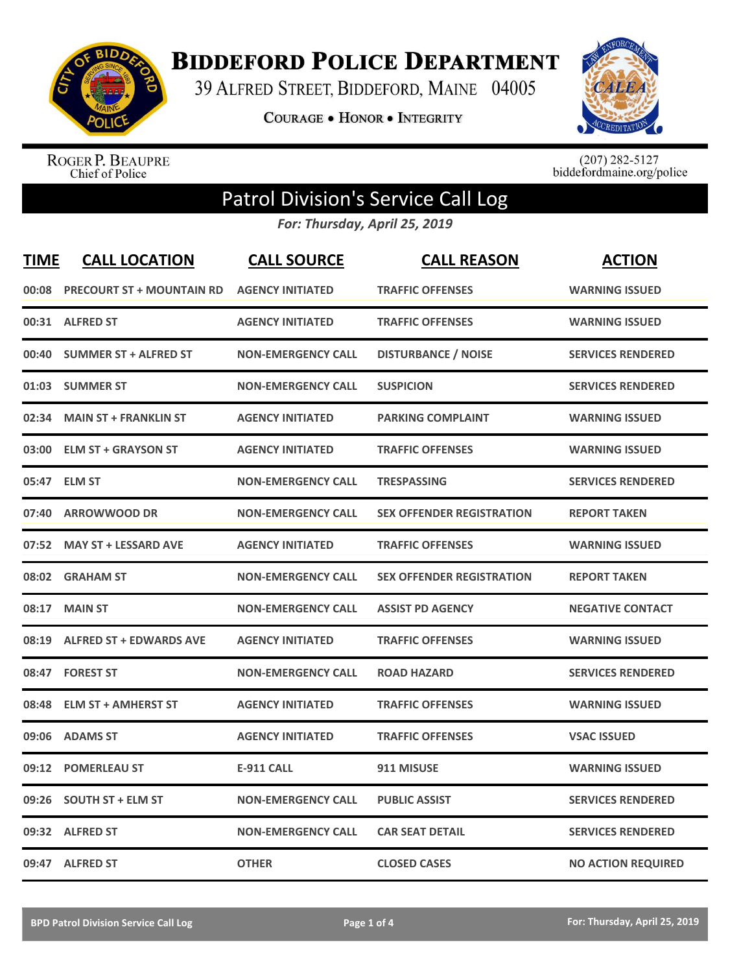

**BIDDEFORD POLICE DEPARTMENT** 

39 ALFRED STREET, BIDDEFORD, MAINE 04005

**COURAGE . HONOR . INTEGRITY** 



ROGER P. BEAUPRE<br>Chief of Police

 $(207)$  282-5127<br>biddefordmaine.org/police

## Patrol Division's Service Call Log

*For: Thursday, April 25, 2019*

| <b>TIME</b> | <b>CALL LOCATION</b>             | <b>CALL SOURCE</b>        | <b>CALL REASON</b>               | <b>ACTION</b>             |
|-------------|----------------------------------|---------------------------|----------------------------------|---------------------------|
| 00:08       | <b>PRECOURT ST + MOUNTAIN RD</b> | <b>AGENCY INITIATED</b>   | <b>TRAFFIC OFFENSES</b>          | <b>WARNING ISSUED</b>     |
| 00:31       | <b>ALFRED ST</b>                 | <b>AGENCY INITIATED</b>   | <b>TRAFFIC OFFENSES</b>          | <b>WARNING ISSUED</b>     |
| 00:40       | <b>SUMMER ST + ALFRED ST</b>     | <b>NON-EMERGENCY CALL</b> | <b>DISTURBANCE / NOISE</b>       | <b>SERVICES RENDERED</b>  |
|             | 01:03 SUMMER ST                  | <b>NON-EMERGENCY CALL</b> | <b>SUSPICION</b>                 | <b>SERVICES RENDERED</b>  |
| 02:34       | <b>MAIN ST + FRANKLIN ST</b>     | <b>AGENCY INITIATED</b>   | <b>PARKING COMPLAINT</b>         | <b>WARNING ISSUED</b>     |
| 03:00       | <b>ELM ST + GRAYSON ST</b>       | <b>AGENCY INITIATED</b>   | <b>TRAFFIC OFFENSES</b>          | <b>WARNING ISSUED</b>     |
| 05:47       | <b>ELM ST</b>                    | <b>NON-EMERGENCY CALL</b> | <b>TRESPASSING</b>               | <b>SERVICES RENDERED</b>  |
| 07:40       | <b>ARROWWOOD DR</b>              | <b>NON-EMERGENCY CALL</b> | <b>SEX OFFENDER REGISTRATION</b> | <b>REPORT TAKEN</b>       |
| 07:52       | <b>MAY ST + LESSARD AVE</b>      | <b>AGENCY INITIATED</b>   | <b>TRAFFIC OFFENSES</b>          | <b>WARNING ISSUED</b>     |
| 08:02       | <b>GRAHAM ST</b>                 | <b>NON-EMERGENCY CALL</b> | <b>SEX OFFENDER REGISTRATION</b> | <b>REPORT TAKEN</b>       |
| 08:17       | <b>MAIN ST</b>                   | <b>NON-EMERGENCY CALL</b> | <b>ASSIST PD AGENCY</b>          | <b>NEGATIVE CONTACT</b>   |
| 08:19       | <b>ALFRED ST + EDWARDS AVE</b>   | <b>AGENCY INITIATED</b>   | <b>TRAFFIC OFFENSES</b>          | <b>WARNING ISSUED</b>     |
|             | 08:47 FOREST ST                  | <b>NON-EMERGENCY CALL</b> | <b>ROAD HAZARD</b>               | <b>SERVICES RENDERED</b>  |
| 08:48       | <b>ELM ST + AMHERST ST</b>       | <b>AGENCY INITIATED</b>   | <b>TRAFFIC OFFENSES</b>          | <b>WARNING ISSUED</b>     |
| 09:06       | <b>ADAMS ST</b>                  | <b>AGENCY INITIATED</b>   | <b>TRAFFIC OFFENSES</b>          | <b>VSAC ISSUED</b>        |
| 09:12       | <b>POMERLEAU ST</b>              | <b>E-911 CALL</b>         | 911 MISUSE                       | <b>WARNING ISSUED</b>     |
| 09:26       | <b>SOUTH ST + ELM ST</b>         | <b>NON-EMERGENCY CALL</b> | <b>PUBLIC ASSIST</b>             | <b>SERVICES RENDERED</b>  |
| 09:32       | <b>ALFRED ST</b>                 | <b>NON-EMERGENCY CALL</b> | <b>CAR SEAT DETAIL</b>           | <b>SERVICES RENDERED</b>  |
|             | 09:47 ALFRED ST                  | <b>OTHER</b>              | <b>CLOSED CASES</b>              | <b>NO ACTION REQUIRED</b> |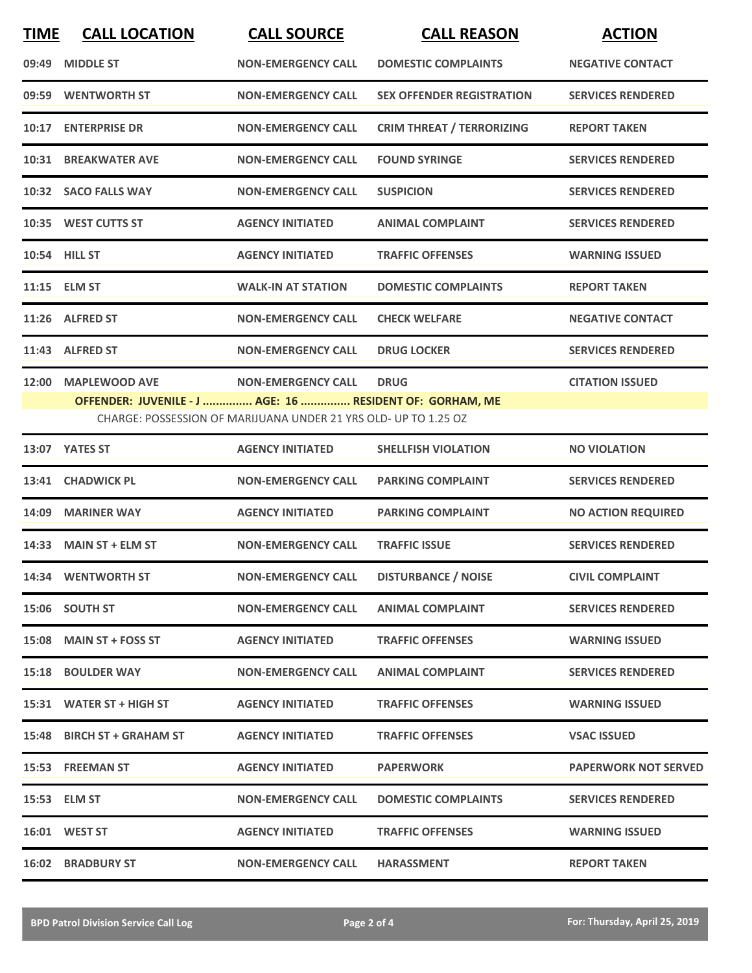| <b>TIME</b> | <b>CALL LOCATION</b>                                     | <b>CALL SOURCE</b>                                              | <b>CALL REASON</b>               | <b>ACTION</b>               |
|-------------|----------------------------------------------------------|-----------------------------------------------------------------|----------------------------------|-----------------------------|
| 09:49       | <b>MIDDLE ST</b>                                         | <b>NON-EMERGENCY CALL</b>                                       | <b>DOMESTIC COMPLAINTS</b>       | <b>NEGATIVE CONTACT</b>     |
| 09:59       | <b>WENTWORTH ST</b>                                      | <b>NON-EMERGENCY CALL</b>                                       | <b>SEX OFFENDER REGISTRATION</b> | <b>SERVICES RENDERED</b>    |
|             | 10:17 ENTERPRISE DR                                      | <b>NON-EMERGENCY CALL</b>                                       | <b>CRIM THREAT / TERRORIZING</b> | <b>REPORT TAKEN</b>         |
|             | 10:31 BREAKWATER AVE                                     | <b>NON-EMERGENCY CALL</b>                                       | <b>FOUND SYRINGE</b>             | <b>SERVICES RENDERED</b>    |
|             | 10:32 SACO FALLS WAY                                     | <b>NON-EMERGENCY CALL</b>                                       | <b>SUSPICION</b>                 | <b>SERVICES RENDERED</b>    |
|             | 10:35 WEST CUTTS ST                                      | <b>AGENCY INITIATED</b>                                         | <b>ANIMAL COMPLAINT</b>          | <b>SERVICES RENDERED</b>    |
|             | 10:54 HILL ST                                            | <b>AGENCY INITIATED</b>                                         | <b>TRAFFIC OFFENSES</b>          | <b>WARNING ISSUED</b>       |
|             | 11:15 ELM ST                                             | <b>WALK-IN AT STATION</b>                                       | <b>DOMESTIC COMPLAINTS</b>       | <b>REPORT TAKEN</b>         |
|             | 11:26 ALFRED ST                                          | <b>NON-EMERGENCY CALL</b>                                       | <b>CHECK WELFARE</b>             | <b>NEGATIVE CONTACT</b>     |
|             | 11:43 ALFRED ST                                          | <b>NON-EMERGENCY CALL</b>                                       | <b>DRUG LOCKER</b>               | <b>SERVICES RENDERED</b>    |
| 12:00       | <b>MAPLEWOOD AVE</b>                                     | <b>NON-EMERGENCY CALL</b>                                       | <b>DRUG</b>                      | <b>CITATION ISSUED</b>      |
|             | OFFENDER: JUVENILE - J  AGE: 16  RESIDENT OF: GORHAM, ME | CHARGE: POSSESSION OF MARIJUANA UNDER 21 YRS OLD- UP TO 1.25 OZ |                                  |                             |
|             | 13:07 YATES ST                                           | <b>AGENCY INITIATED</b>                                         | <b>SHELLFISH VIOLATION</b>       | <b>NO VIOLATION</b>         |
|             | 13:41 CHADWICK PL                                        | <b>NON-EMERGENCY CALL</b>                                       | <b>PARKING COMPLAINT</b>         | <b>SERVICES RENDERED</b>    |
| 14:09       | <b>MARINER WAY</b>                                       | <b>AGENCY INITIATED</b>                                         | <b>PARKING COMPLAINT</b>         | <b>NO ACTION REQUIRED</b>   |
|             | 14:33 MAIN ST + ELM ST                                   | <b>NON-EMERGENCY CALL</b>                                       | <b>TRAFFIC ISSUE</b>             | <b>SERVICES RENDERED</b>    |
|             | 14:34 WENTWORTH ST                                       | <b>NON-EMERGENCY CALL</b>                                       | <b>DISTURBANCE / NOISE</b>       | <b>CIVIL COMPLAINT</b>      |
|             | 15:06 SOUTH ST                                           | <b>NON-EMERGENCY CALL</b>                                       | <b>ANIMAL COMPLAINT</b>          | <b>SERVICES RENDERED</b>    |
|             | 15:08 MAIN ST + FOSS ST                                  | <b>AGENCY INITIATED</b>                                         | <b>TRAFFIC OFFENSES</b>          | <b>WARNING ISSUED</b>       |
|             | 15:18 BOULDER WAY                                        | <b>NON-EMERGENCY CALL</b>                                       | <b>ANIMAL COMPLAINT</b>          | <b>SERVICES RENDERED</b>    |
|             | 15:31 WATER ST + HIGH ST                                 | <b>AGENCY INITIATED</b>                                         | <b>TRAFFIC OFFENSES</b>          | <b>WARNING ISSUED</b>       |
|             | 15:48 BIRCH ST + GRAHAM ST                               | <b>AGENCY INITIATED</b>                                         | <b>TRAFFIC OFFENSES</b>          | <b>VSAC ISSUED</b>          |
|             | 15:53 FREEMAN ST                                         | <b>AGENCY INITIATED</b>                                         | <b>PAPERWORK</b>                 | <b>PAPERWORK NOT SERVED</b> |
|             | 15:53 ELM ST                                             | <b>NON-EMERGENCY CALL</b>                                       | <b>DOMESTIC COMPLAINTS</b>       | <b>SERVICES RENDERED</b>    |
|             | 16:01 WEST ST                                            | <b>AGENCY INITIATED</b>                                         | <b>TRAFFIC OFFENSES</b>          | <b>WARNING ISSUED</b>       |
|             | <b>16:02 BRADBURY ST</b>                                 | <b>NON-EMERGENCY CALL</b>                                       | <b>HARASSMENT</b>                | <b>REPORT TAKEN</b>         |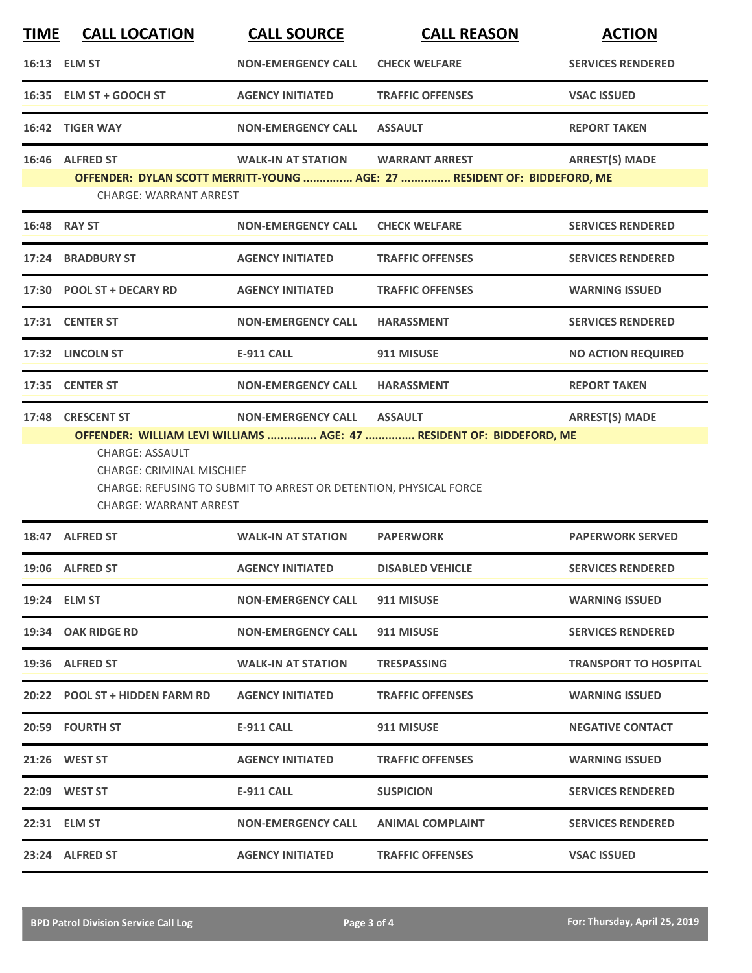| <b>TIME</b> | <b>CALL LOCATION</b>                                                                 | <b>CALL SOURCE</b>                                                | <b>CALL REASON</b>                                                                     | <b>ACTION</b>                |
|-------------|--------------------------------------------------------------------------------------|-------------------------------------------------------------------|----------------------------------------------------------------------------------------|------------------------------|
|             | 16:13 ELM ST                                                                         | <b>NON-EMERGENCY CALL</b>                                         | <b>CHECK WELFARE</b>                                                                   | <b>SERVICES RENDERED</b>     |
|             | 16:35 ELM ST + GOOCH ST                                                              | <b>AGENCY INITIATED</b>                                           | <b>TRAFFIC OFFENSES</b>                                                                | <b>VSAC ISSUED</b>           |
|             | 16:42 TIGER WAY                                                                      | <b>NON-EMERGENCY CALL</b>                                         | <b>ASSAULT</b>                                                                         | <b>REPORT TAKEN</b>          |
|             | 16:46 ALFRED ST                                                                      | <b>WALK-IN AT STATION</b>                                         | <b>WARRANT ARREST</b>                                                                  | <b>ARREST(S) MADE</b>        |
|             | <b>CHARGE: WARRANT ARREST</b>                                                        |                                                                   | OFFENDER: DYLAN SCOTT MERRITT-YOUNG  AGE: 27  RESIDENT OF: BIDDEFORD, ME               |                              |
|             | 16:48 RAY ST                                                                         | <b>NON-EMERGENCY CALL</b>                                         | <b>CHECK WELFARE</b>                                                                   | <b>SERVICES RENDERED</b>     |
|             | 17:24 BRADBURY ST                                                                    | <b>AGENCY INITIATED</b>                                           | <b>TRAFFIC OFFENSES</b>                                                                | <b>SERVICES RENDERED</b>     |
|             | 17:30 POOL ST + DECARY RD                                                            | <b>AGENCY INITIATED</b>                                           | <b>TRAFFIC OFFENSES</b>                                                                | <b>WARNING ISSUED</b>        |
|             | 17:31 CENTER ST                                                                      | <b>NON-EMERGENCY CALL</b>                                         | <b>HARASSMENT</b>                                                                      | <b>SERVICES RENDERED</b>     |
|             | 17:32 LINCOLN ST                                                                     | <b>E-911 CALL</b>                                                 | 911 MISUSE                                                                             | <b>NO ACTION REQUIRED</b>    |
|             | 17:35 CENTER ST                                                                      | <b>NON-EMERGENCY CALL</b>                                         | <b>HARASSMENT</b>                                                                      | <b>REPORT TAKEN</b>          |
|             | 17:48 CRESCENT ST                                                                    | <b>NON-EMERGENCY CALL</b>                                         | <b>ASSAULT</b><br>OFFENDER: WILLIAM LEVI WILLIAMS  AGE: 47  RESIDENT OF: BIDDEFORD, ME | <b>ARREST(S) MADE</b>        |
|             | CHARGE: ASSAULT<br><b>CHARGE: CRIMINAL MISCHIEF</b><br><b>CHARGE: WARRANT ARREST</b> | CHARGE: REFUSING TO SUBMIT TO ARREST OR DETENTION, PHYSICAL FORCE |                                                                                        |                              |
|             | 18:47 ALFRED ST                                                                      | <b>WALK-IN AT STATION</b>                                         | <b>PAPERWORK</b>                                                                       | <b>PAPERWORK SERVED</b>      |
|             | 19:06 ALFRED ST                                                                      | <b>AGENCY INITIATED</b>                                           | <b>DISABLED VEHICLE</b>                                                                | <b>SERVICES RENDERED</b>     |
|             | 19:24 ELM ST                                                                         | <b>NON-EMERGENCY CALL</b>                                         | 911 MISUSE                                                                             | <b>WARNING ISSUED</b>        |
|             | 19:34 OAK RIDGE RD                                                                   | <b>NON-EMERGENCY CALL</b>                                         | 911 MISUSE                                                                             | <b>SERVICES RENDERED</b>     |
|             | 19:36 ALFRED ST                                                                      | <b>WALK-IN AT STATION</b>                                         | <b>TRESPASSING</b>                                                                     | <b>TRANSPORT TO HOSPITAL</b> |
|             | 20:22 POOL ST + HIDDEN FARM RD                                                       | <b>AGENCY INITIATED</b>                                           | <b>TRAFFIC OFFENSES</b>                                                                | <b>WARNING ISSUED</b>        |
|             | 20:59 FOURTH ST                                                                      | <b>E-911 CALL</b>                                                 | 911 MISUSE                                                                             | <b>NEGATIVE CONTACT</b>      |
|             | 21:26 WEST ST                                                                        | <b>AGENCY INITIATED</b>                                           | <b>TRAFFIC OFFENSES</b>                                                                | <b>WARNING ISSUED</b>        |
|             | 22:09 WEST ST                                                                        | <b>E-911 CALL</b>                                                 | <b>SUSPICION</b>                                                                       | <b>SERVICES RENDERED</b>     |
|             | 22:31 ELM ST                                                                         | <b>NON-EMERGENCY CALL</b>                                         | <b>ANIMAL COMPLAINT</b>                                                                | <b>SERVICES RENDERED</b>     |
|             | 23:24 ALFRED ST                                                                      | <b>AGENCY INITIATED</b>                                           | <b>TRAFFIC OFFENSES</b>                                                                | <b>VSAC ISSUED</b>           |